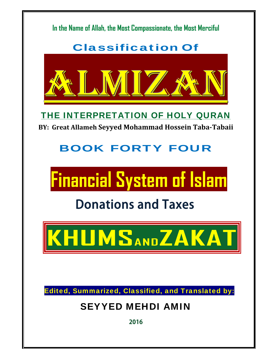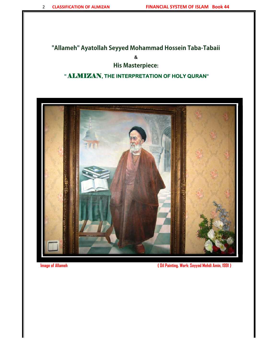#### **"Allameh" Ayatollah Seyyed Mohammad Hossein Taba-Tabaii**

**&** 

#### **His Masterpiece:**

#### **"** ALMIZAN**, THE INTERPRETATION OF HOLY QURAN"**



**Image of Allameh ( Oil Painting. Work: Seyyed Mehdi Amin, 1991 )**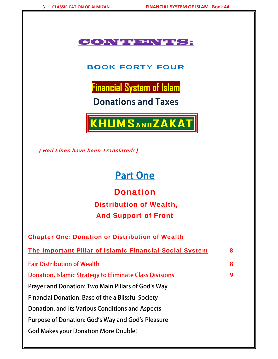#### CONTENTS:

#### BOOK FORTY FOUR

**Financial System of Islam**

Donations and Taxes



 **(** Red Lines have been Translated! )

# Part One

**Donation**  Distribution of Wealth, And Support of Front

| <b>Chapter One: Donation or Distribution of Wealth</b>         |   |
|----------------------------------------------------------------|---|
|                                                                |   |
| <b>Fair Distribution of Wealth</b>                             | 8 |
| <b>Donation, Islamic Strategy to Eliminate Class Divisions</b> | 9 |
| Prayer and Donation: Two Main Pillars of God's Way             |   |
| <b>Financial Donation: Base of the a Blissful Society</b>      |   |
| Donation, and its Various Conditions and Aspects               |   |
| Purpose of Donation: God's Way and God's Pleasure              |   |
| <b>God Makes your Donation More Double!</b>                    |   |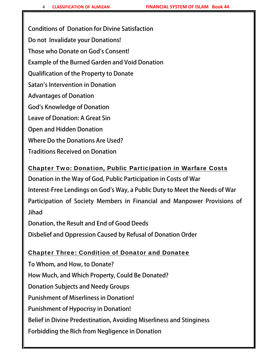Conditions of Donation for Divine Satisfaction Do not Invalidate your Donations! Those who Donate on God's Consent! Example of the Burned Garden and Void Donation Qualification of the Property to Donate Satan's Intervention in Donation Advantages of Donation God's Knowledge of Donation Leave of Donation: A Great Sin Open and Hidden Donation Where Do the Donations Are Used?

Traditions Received on Donation

# Chapter Two: Donation, Public Participation in Warfare Costs Donation in the Way of God, Public Participation in Costs of War Interest-Free Lendings on God's Way, a Public Duty to Meet the Needs of War Participation of Society Members in Financial and Manpower Provisions of

Jihad

Donation, the Result and End of Good Deeds

Disbelief and Oppression Caused by Refusal of Donation Order

#### Chapter Three: Condition of Donator and Donatee

To Whom, and How, to Donate? How Much, and Which Property, Could Be Donated? Donation Subjects and Needy Groups Punishment of Miserliness in Donation! Punishment of Hypocrisy in Donation! Belief in Divine Predestination, Avoiding Miserliness and Stinginess Forbidding the Rich from Negligence in Donation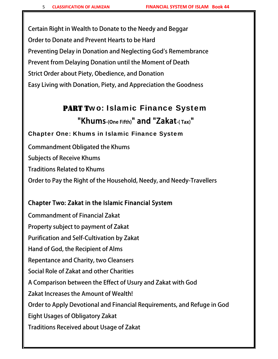Certain Right in Wealth to Donate to the Needy and Beggar Order to Donate and Prevent Hearts to be Hard Preventing Delay in Donation and Neglecting God's Remembrance Prevent from Delaying Donation until the Moment of Death Strict Order about Piety, Obedience, and Donation Easy Living with Donation, Piety, and Appreciation the Goodness

### PART Two: Islamic Finance System "Khums-(One Fifth)" and "Zakat-( Tax)"

#### Chapter One: Khums in Islamic Finance System

Commandment Obligated the Khums Subjects of Receive Khums Traditions Related to Khums Order to Pay the Right of the Household, Needy, and Needy-Travellers

#### Chapter Two: Zakat in the Islamic Financial System

Commandment of Financial Zakat Property subject to payment of Zakat Purification and Self-Cultivation by Zakat Hand of God, the Recipient of Alms Repentance and Charity, two Cleansers Social Role of Zakat and other Charities A Comparison between the Effect of Usury and Zakat with God Zakat Increases the Amount of Wealth! Order to Apply Devotional and Financial Requirements, and Refuge in God Eight Usages of Obligatory Zakat Traditions Received about Usage of Zakat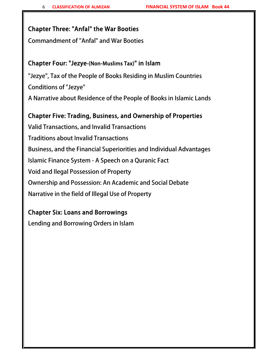#### Chapter Three: "Anfal" the War Booties

Commandment of "Anfal" and War Booties

#### Chapter Four: "Jezye-(Non-Muslims Tax)" in Islam

"Jezye", Tax of the People of Books Residing in Muslim Countries Conditions of "Jezye" A Narrative about Residence of the People of Books in Islamic Lands

#### Chapter Five: Trading, Business, and Ownership of Properties

Valid Transactions, and Invalid Transactions Traditions about Invalid Transactions Business, and the Financial Superiorities and Individual Advantages Islamic Finance System - A Speech on a Quranic Fact Void and Ilegal Possession of Property Ownership and Possession: An Academic and Social Debate Narrative in the field of Illegal Use of Property

#### Chapter Six: Loans and Borrowings

Lending and Borrowing Orders in Islam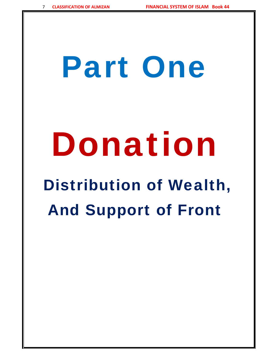# Part One

# Donation

# Distribution of Wealth, And Support of Front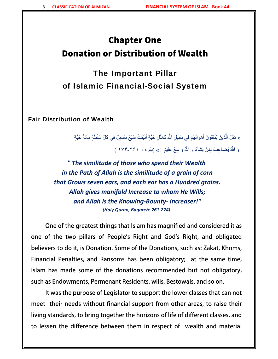# Chapter One Donation or Distribution of Wealth

The Important Pillar of Islamic Financial-Social System

Fair Distribution of Wealth

ا<br>ا « مَثَّلُ الَّذينَ يُنْفِقُونَ أَمْو الَهُمْ في سَبيلِ اللَّهِ كَمَثَّلِ حَبَّةٍ أَنْبَتَتْ سَبْعَ سَنابِلَ في كُلِّ سُنُبُلَةٍ مِائَةُ حَبَّةٍ َ֖֖֖֖֧֚֚֚֚֚֚֚֚֚֚֚֚֚֚֚֚֚֚֚֝<u>֓</u> َّوَ اللَّهُ يُضاعِفُ لِمَنْ يَشاءُ وَ اللَّهُ واسِعٌ عَليمٌ ۚ !» (بقره / ۲۶۱-۲۷۴ )<br>\*

*" The similitude of those who spend their Wealth in the Path of Allah is the similitude of a grain of corn that Grows seven ears, and each ear has a Hundred grains. Allah gives manifold Increase to whom He Wills; and Allah is the Knowing‐Bounty‐ Increaser!" (Holy Quran, Baqareh: 261‐274)*

One of the greatest things that Islam has magnified and considered it as one of the two pillars of People's Right and God's Right, and obligated believers to do it, is Donation. Some of the Donations, such as: Zakat, Khoms, Financial Penalties, and Ransoms has been obligatory; at the same time, Islam has made some of the donations recommended but not obligatory, such as Endowments, Permenant Residents, wills, Bestowals, and so on.

It was the purpose of Legislator to support the lower classes that can not meet their needs without financial support from other areas, to raise their living standards, to bring together the horizons of life of different classes, and to lessen the difference between them in respect of wealth and material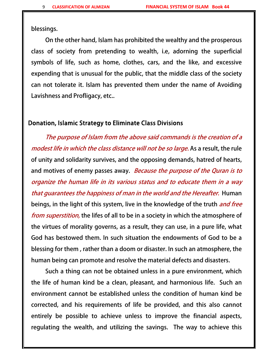blessings.

On the other hand, Islam has prohibited the wealthy and the prosperous class of society from pretending to wealth, i.e, adorning the superficial symbols of life, such as home, clothes, cars, and the like, and excessive expending that is unusual for the public, that the middle class of the society can not tolerate it. Islam has prevented them under the name of Avoiding Lavishness and Profligacy, etc..

#### Donation, Islamic Strategy to Eliminate Class Divisions

The purpose of Islam from the above said commands is the creation of a modest life in which the class distance will not be so large. As a result, the rule of unity and solidarity survives, and the opposing demands, hatred of hearts, and motives of enemy passes away. Because the purpose of the Quran is to organize the human life in its various status and to educate them in a way that guarantees the happiness of man in the world and the Hereafter. Human beings, in the light of this system, live in the knowledge of the truth *and free* from superstition, the lifes of all to be in a society in which the atmosphere of the virtues of morality governs, as a result, they can use, in a pure life, what God has bestowed them. In such situation the endowments of God to be a blessing for them , rather than a doom or disaster. In such an atmosphere, the human being can promote and resolve the material defects and disasters.

Such a thing can not be obtained unless in a pure environment, which the life of human kind be a clean, pleasant, and harmonious life. Such an environment cannot be established unless the condition of human kind be corrected, and his requirements of life be provided, and this also cannot entirely be possible to achieve unless to improve the financial aspects, regulating the wealth, and utilizing the savings. The way to achieve this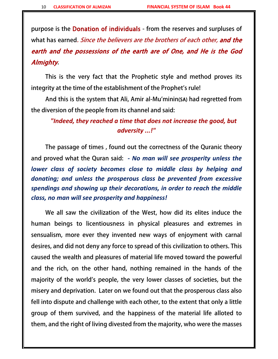purpose is the Donation of individuals - from the reserves and surpluses of what has earned. Since the believers are the brothers of each other, and the earth and the possessions of the earth are of One, and He is the God Almighty.

This is the very fact that the Prophetic style and method proves its integrity at the time of the establishment of the Prophet's rule!

And this is the system that Ali, Amir al-Mu'minin(SA) had regretted from the diversion of the people from its channel and said:

#### *"Indeed, they reached a time that does not increase the good, but adversity ...!"*

The passage of times , found out the correctness of the Quranic theory and proved what the Quran said:  *‐ No man will see prosperity unless the lower class of society becomes close to middle class by helping and donating; and unless the prosperous class be prevented from excessive spendings and showing up their decorations, in order to reach the middle class, no man will see prosperity and happiness!*

We all saw the civilization of the West, how did its elites induce the human beings to licentiousness in physical pleasures and extremes in sensualism, more ever they invented new ways of enjoyment with carnal desires, and did not deny any force to spread of this civilization to others. This caused the wealth and pleasures of material life moved toward the powerful and the rich, on the other hand, nothing remained in the hands of the majority of the world's people, the very lower classes of societies, but the misery and deprivation. Later on we found out that the prosperous class also fell into dispute and challenge with each other, to the extent that only a little group of them survived, and the happiness of the material life alloted to them, and the right of living divested from the majority, who were the masses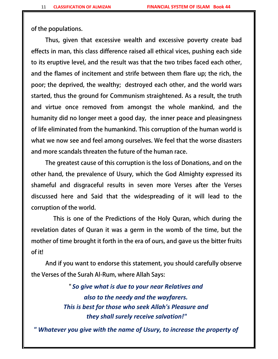of the populations.

Thus, given that excessive wealth and excessive poverty create bad effects in man, this class difference raised all ethical vices, pushing each side to its eruptive level, and the result was that the two tribes faced each other, and the flames of incitement and strife between them flare up; the rich, the poor; the deprived, the wealthy; destroyed each other, and the world wars started, thus the ground for Communism straightened. As a result, the truth and virtue once removed from amongst the whole mankind, and the humanity did no longer meet a good day, the inner peace and pleasingness of life eliminated from the humankind. This corruption of the human world is what we now see and feel among ourselves. We feel that the worse disasters and more scandals threaten the future of the human race.

The greatest cause of this corruption is the loss of Donations, and on the other hand, the prevalence of Usury, which the God Almighty expressed its shameful and disgraceful results in seven more Verses after the Verses discussed here and Said that the widespreading of it will lead to the corruption of the world.

 This is one of the Predictions of the Holy Quran, which during the revelation dates of Quran it was a germ in the womb of the time, but the mother of time brought it forth in the era of ours, and gave us the bitter fruits of it!

And if you want to endorse this statement, you should carefully observe the Verses of the Surah Al-Rum, where Allah Says:

> " *So give what is due to your near Relatives and also to the needy and the wayfarers. This is best for those who seek Allah's Pleasure and they shall surely receive salvation!"*

*" Whatever you give with the name of Usury, to increase the property of*